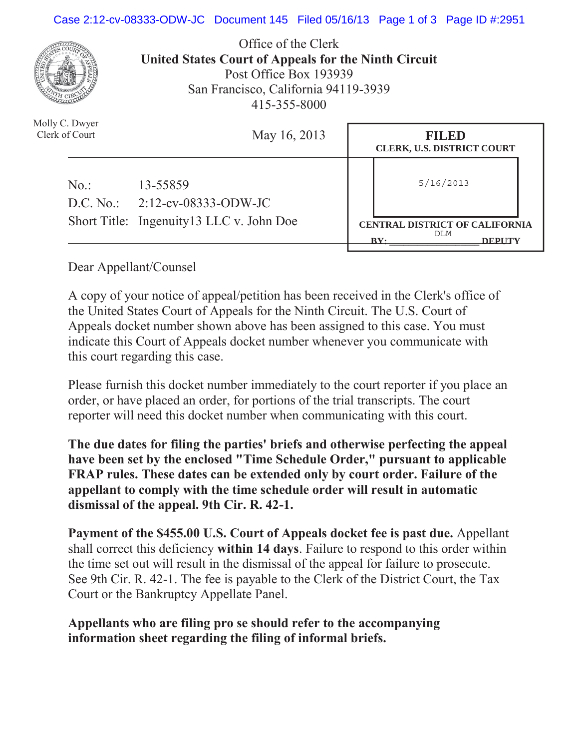#### Case 2:12-cv-08333-ODW-JC Document 145 Filed 05/16/13 Page 1 of 3 Page ID #:2951



Office of the Clerk **United States Court of Appeals for the Ninth Circuit**  Post Office Box 193939 San Francisco, California 94119-3939 415-355-8000

| Molly C. Dwyer<br>Clerk of Court | May 16, 2013                                 | FILED<br><b>CLERK, U.S. DISTRICT COURT</b>                                       |  |
|----------------------------------|----------------------------------------------|----------------------------------------------------------------------------------|--|
| No.                              | 13-55859<br>$D.C. No.: 2:12-cv-08333-ODW-JC$ | 5/16/2013                                                                        |  |
|                                  | Short Title: Ingenuity 13 LLC v. John Doe    | <b>CENTRAL DISTRICT OF CALIFORNIA</b><br>DLM<br>$\mathbf{R} \mathbf{V}$<br>DEPIT |  |

Dear Appellant/Counsel

A copy of your notice of appeal/petition has been received in the Clerk's office of the United States Court of Appeals for the Ninth Circuit. The U.S. Court of Appeals docket number shown above has been assigned to this case. You must indicate this Court of Appeals docket number whenever you communicate with this court regarding this case.

Please furnish this docket number immediately to the court reporter if you place an order, or have placed an order, for portions of the trial transcripts. The court reporter will need this docket number when communicating with this court.

**The due dates for filing the parties' briefs and otherwise perfecting the appeal have been set by the enclosed "Time Schedule Order," pursuant to applicable FRAP rules. These dates can be extended only by court order. Failure of the appellant to comply with the time schedule order will result in automatic dismissal of the appeal. 9th Cir. R. 42-1.**

**Payment of the \$455.00 U.S. Court of Appeals docket fee is past due.** Appellant shall correct this deficiency **within 14 days**. Failure to respond to this order within the time set out will result in the dismissal of the appeal for failure to prosecute. See 9th Cir. R. 42-1. The fee is payable to the Clerk of the District Court, the Tax Court or the Bankruptcy Appellate Panel.

### **Appellants who are filing pro se should refer to the accompanying information sheet regarding the filing of informal briefs.**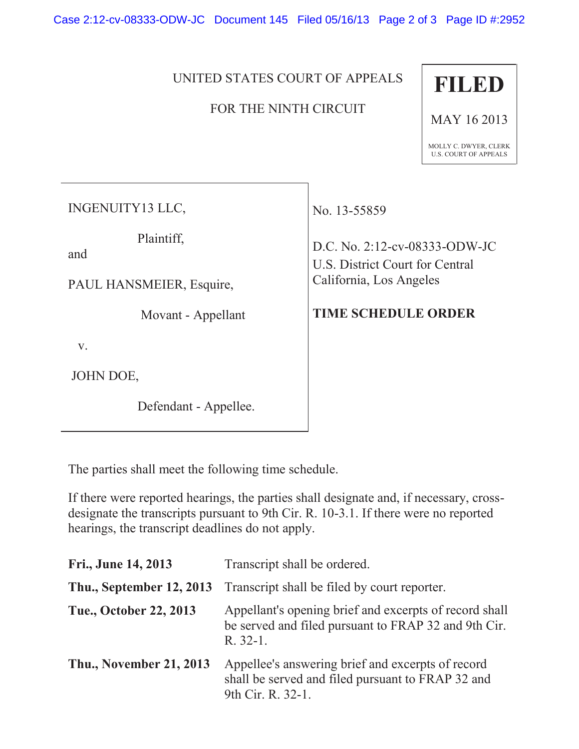Case 2:12-cv-08333-ODW-JC Document 145 Filed 05/16/13 Page 2 of 3 Page ID #:2952

### UNITED STATES COURT OF APPEALS

## FOR THE NINTH CIRCUIT



MAY 16 2013

MOLLY C. DWYER, CLERK U.S. COURT OF APPEALS

INGENUITY13 LLC,

Plaintiff,

and

PAUL HANSMEIER, Esquire,

Movant - Appellant

v.

JOHN DOE,

Defendant - Appellee.

No. 13-55859

D.C. No. 2:12-cv-08333-ODW-JC U.S. District Court for Central California, Los Angeles

# **TIME SCHEDULE ORDER**

The parties shall meet the following time schedule.

If there were reported hearings, the parties shall designate and, if necessary, crossdesignate the transcripts pursuant to 9th Cir. R. 10-3.1. If there were no reported hearings, the transcript deadlines do not apply.

| Fri., June 14, 2013             | Transcript shall be ordered.                                                                                                 |  |
|---------------------------------|------------------------------------------------------------------------------------------------------------------------------|--|
| <b>Thu., September 12, 2013</b> | Transcript shall be filed by court reporter.                                                                                 |  |
| Tue., October 22, 2013          | Appellant's opening brief and excerpts of record shall<br>be served and filed pursuant to FRAP 32 and 9th Cir.<br>$R. 32-1.$ |  |
| <b>Thu., November 21, 2013</b>  | Appellee's answering brief and excerpts of record<br>shall be served and filed pursuant to FRAP 32 and<br>9th Cir. R. 32-1.  |  |